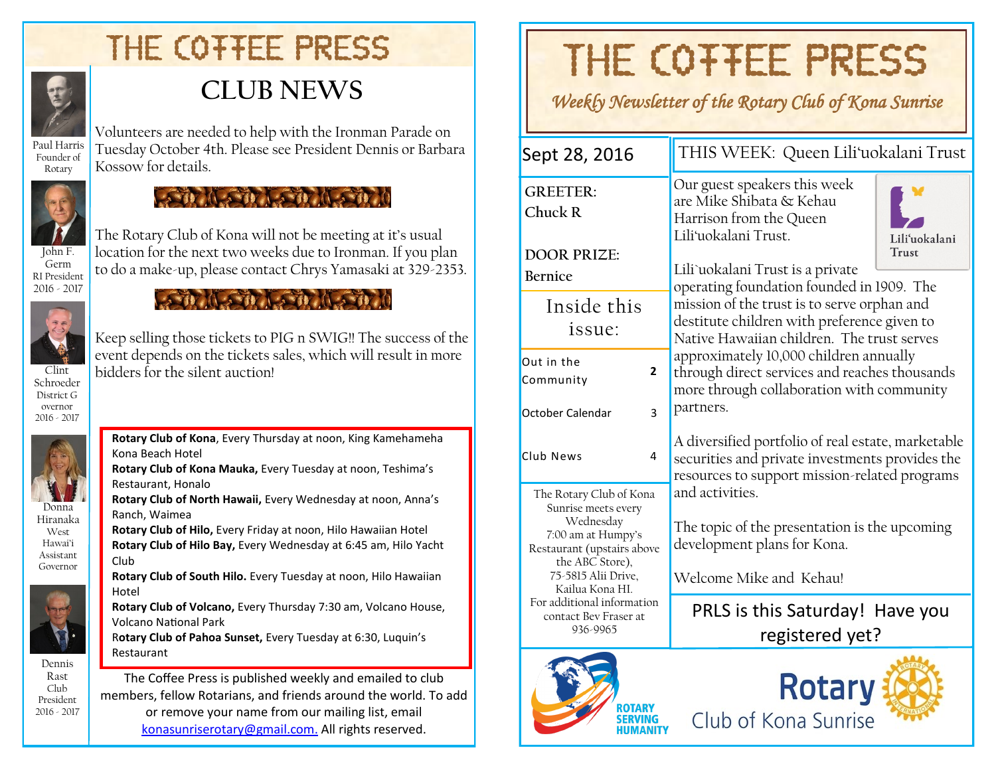# THE COTTEE PRESS



Founder of Rotary

## **CLUB NEWS**

Volunteers are needed to help with the Ironman Parade on Tuesday October 4th. Please see President Dennis or Barbara Kossow for details.



RI President 2016 - 2017

#### **CONTRACTOR** CONTRACTOR

The Rotary Club of Kona will not be meeting at it's usual location for the next two weeks due to Ironman. If you plan to do a make-up, please contact Chrys Yamasaki at 329-2353.

Keep selling those tickets to PIG n SWIG!! The success of the event depends on the tickets sales, which will result in more



bidders for the silent auction!

Clint Schroeder District G overnor 2016 - 2017



Donna Hiranaka West Hawai'i Assistant Governor



Dennis Rast Club President 2016 - 2017 **Rotary Club of Kona**, Every Thursday at noon, King Kamehameha Kona Beach Hotel **Rotary Club of Kona Mauka,** Every Tuesday at noon, Teshima's Restaurant, Honalo

**Rotary Club of North Hawaii,** Every Wednesday at noon, Anna's Ranch, Waimea

**Rotary Club of Hilo,** Every Friday at noon, Hilo Hawaiian Hotel

**Rotary Club of Hilo Bay,** Every Wednesday at 6:45 am, Hilo Yacht Club

**Rotary Club of South Hilo.** Every Tuesday at noon, Hilo Hawaiian Hotel

**Rotary Club of Volcano,** Every Thursday 7:30 am, Volcano House, Volcano National Park

R**otary Club of Pahoa Sunset,** Every Tuesday at 6:30, Luquin's Restaurant

The Coffee Press is published weekly and emailed to club members, fellow Rotarians, and friends around the world. To add or remove your name from our mailing list, email [konasunriserotary@gmail.com.](mailto:konasunriserotary@gmail.com.) All rights reserved.

# THE COTTEE PRESS

*Weekly Newsletter of the Rotary Club of Kona Sunrise* 

| Sept 28, 2016                                                                                                                                                                                              | THIS WEEK: Queen Lili'uokalani Trust                                                                                                                                                                                                                                                                                                                                              |  |  |  |  |  |
|------------------------------------------------------------------------------------------------------------------------------------------------------------------------------------------------------------|-----------------------------------------------------------------------------------------------------------------------------------------------------------------------------------------------------------------------------------------------------------------------------------------------------------------------------------------------------------------------------------|--|--|--|--|--|
| <b>GREETER:</b><br>Chuck R                                                                                                                                                                                 | Our guest speakers this week<br>are Mike Shibata & Kehau<br>Harrison from the Queen<br>Lili'uokalani Trust.<br>Lili'uokalani                                                                                                                                                                                                                                                      |  |  |  |  |  |
| <b>DOOR PRIZE:</b><br><b>Bernice</b>                                                                                                                                                                       | <b>Trust</b><br>Lili`uokalani Trust is a private<br>operating foundation founded in 1909. The<br>mission of the trust is to serve orphan and<br>destitute children with preference given to<br>Native Hawaiian children. The trust serves<br>approximately 10,000 children annually<br>through direct services and reaches thousands<br>more through collaboration with community |  |  |  |  |  |
| Inside this<br>issue:                                                                                                                                                                                      |                                                                                                                                                                                                                                                                                                                                                                                   |  |  |  |  |  |
| Out in the<br>$\mathbf{2}$<br>Community                                                                                                                                                                    |                                                                                                                                                                                                                                                                                                                                                                                   |  |  |  |  |  |
| October Calendar<br>3                                                                                                                                                                                      | partners.                                                                                                                                                                                                                                                                                                                                                                         |  |  |  |  |  |
| Club News<br>4                                                                                                                                                                                             | A diversified portfolio of real estate, marketable<br>securities and private investments provides the<br>resources to support mission-related programs                                                                                                                                                                                                                            |  |  |  |  |  |
| The Rotary Club of Kona<br>Sunrise meets every<br>Wednesday<br>7:00 am at Humpy's<br>Restaurant (upstairs above<br>the ABC Store),<br>75-5815 Alii Drive,<br>Kailua Kona HI.<br>For additional information | and activities.<br>The topic of the presentation is the upcoming<br>development plans for Kona.<br>Welcome Mike and Kehau!                                                                                                                                                                                                                                                        |  |  |  |  |  |
| contact Bev Fraser at<br>936-9965                                                                                                                                                                          | PRLS is this Saturday! Have you<br>registered yet?                                                                                                                                                                                                                                                                                                                                |  |  |  |  |  |
|                                                                                                                                                                                                            |                                                                                                                                                                                                                                                                                                                                                                                   |  |  |  |  |  |